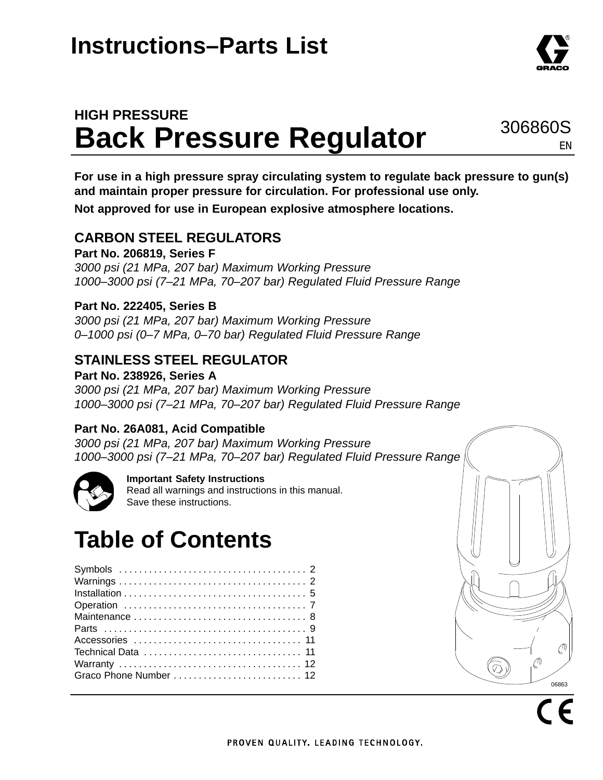## **HIGH PRESSURE Back Pressure Regulator**

**For use in a high pressure spray circulating system to regulate back pressure to gun(s) and maintain proper pressure for circulation. For professional use only.**

**Not approved for use in European explosive atmosphere locations.**

### **CARBON STEEL REGULATORS**

**Part No. 206819, Series F** *3000 psi (21 MPa, 207 bar) Maximum Working Pressure 1000–3000 psi (7–21 MPa, 70–207 bar) Regulated Fluid Pressure Range*

### **Part No. 222405, Series B**

*3000 psi (21 MPa, 207 bar) Maximum Working Pressure 0–1000 psi (0–7 MPa, 0–70 bar) Regulated Fluid Pressure Range*

### **STAINLESS STEEL REGULATOR**

**Part No. 238926, Series A** *3000 psi (21 MPa, 207 bar) Maximum Working Pressure 1000–3000 psi (7–21 MPa, 70–207 bar) Regulated Fluid Pressure Range*

### **Part No. 26A081, Acid Compatible**

*3000 psi (21 MPa, 207 bar) Maximum Working Pressure 1000–3000 psi (7–21 MPa, 70–207 bar) Regulated Fluid Pressure Range*



### **Important Safety Instructions**

Read all warnings and instructions in this manual. Save these instructions.

# **Table of Contents**

| Graco Phone Number  12 |  |  |  |  |  |  |  |  |  |
|------------------------|--|--|--|--|--|--|--|--|--|
|                        |  |  |  |  |  |  |  |  |  |



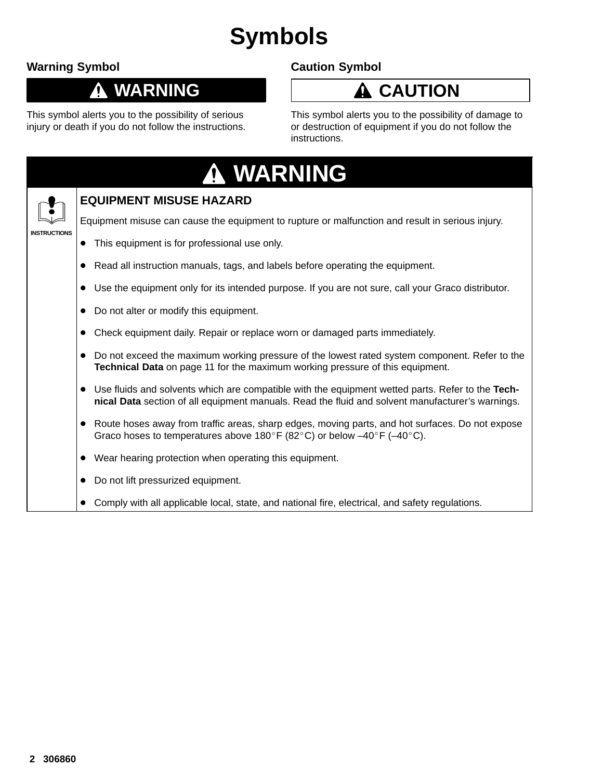# **Symbols**

### **Warning Symbol**

### **WARNING**

This symbol alerts you to the possibility of serious injury or death if you do not follow the instructions.

### **Caution Symbol**

## **CAUTION**

This symbol alerts you to the possibility of damage to or destruction of equipment if you do not follow the instructions.

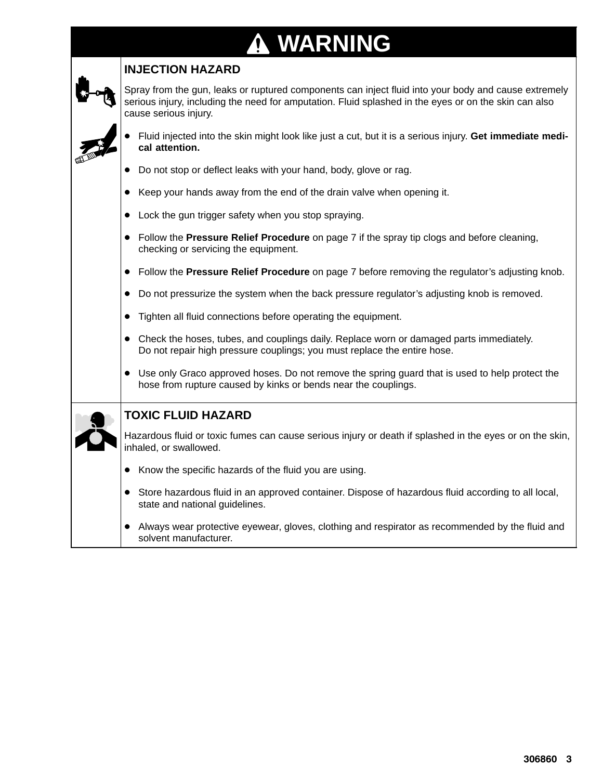# **WARNING**

### **INJECTION HAZARD**

Spray from the gun, leaks or ruptured components can inject fluid into your body and cause extremely serious injury, including the need for amputation. Fluid splashed in the eyes or on the skin can also cause serious injury.

- - Fluid injected into the skin might look like just a cut, but it is a serious injury. **Get immediate medical attention.**
- Do not stop or deflect leaks with your hand, body, glove or rag.
- -Keep your hands away from the end of the drain valve when opening it.
- Lock the gun trigger safety when you stop spraying.
- Follow the **Pressure Relief Procedure** on page 7 if the spray tip clogs and before cleaning, checking or servicing the equipment.
- Follow the **Pressure Relief Procedure** on page 7 before removing the regulator's adjusting knob.
- $\bullet$ Do not pressurize the system when the back pressure regulator's adjusting knob is removed.
- $\bullet$ Tighten all fluid connections before operating the equipment.
- Check the hoses, tubes, and couplings daily. Replace worn or damaged parts immediately. Do not repair high pressure couplings; you must replace the entire hose.
- Use only Graco approved hoses. Do not remove the spring guard that is used to help protect the hose from rupture caused by kinks or bends near the couplings.

### **TOXIC FLUID HAZARD**

Hazardous fluid or toxic fumes can cause serious injury or death if splashed in the eyes or on the skin, inhaled, or swallowed.

- Know the specific hazards of the fluid you are using.
- Store hazardous fluid in an approved container. Dispose of hazardous fluid according to all local, state and national guidelines.
- Always wear protective eyewear, gloves, clothing and respirator as recommended by the fluid and solvent manufacturer.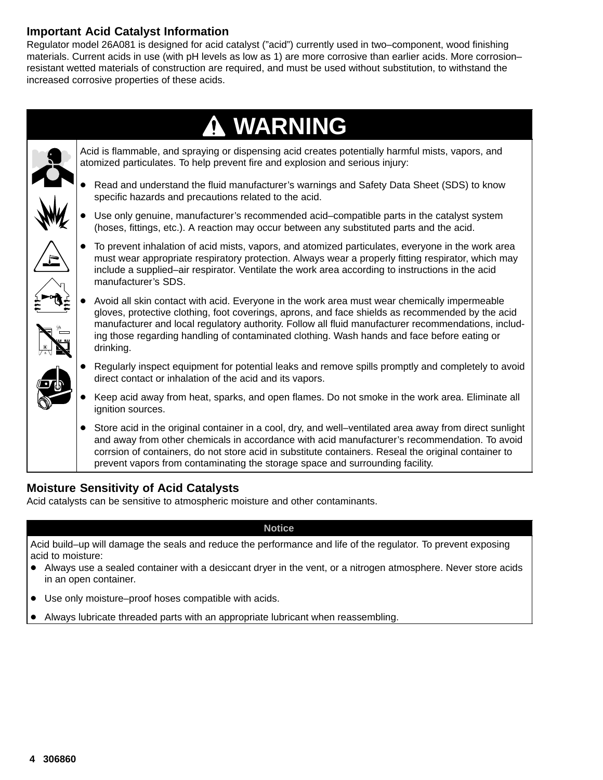### **Important Acid Catalyst Information**

Regulator model 26A081 is designed for acid catalyst ("acid") currently used in two–component, wood finishing materials. Current acids in use (with pH levels as low as 1) are more corrosive than earlier acids. More corrosion– resistant wetted materials of construction are required, and must be used without substitution, to withstand the increased corrosive properties of these acids.



### **Moisture Sensitivity of Acid Catalysts**

Acid catalysts can be sensitive to atmospheric moisture and other contaminants.

#### **Notice**

Acid build–up will damage the seals and reduce the performance and life of the regulator. To prevent exposing acid to moisture:

- Always use a sealed container with a desiccant dryer in the vent, or a nitrogen atmosphere. Never store acids in an open container.
- Use only moisture–proof hoses compatible with acids.
- -Always lubricate threaded parts with an appropriate lubricant when reassembling.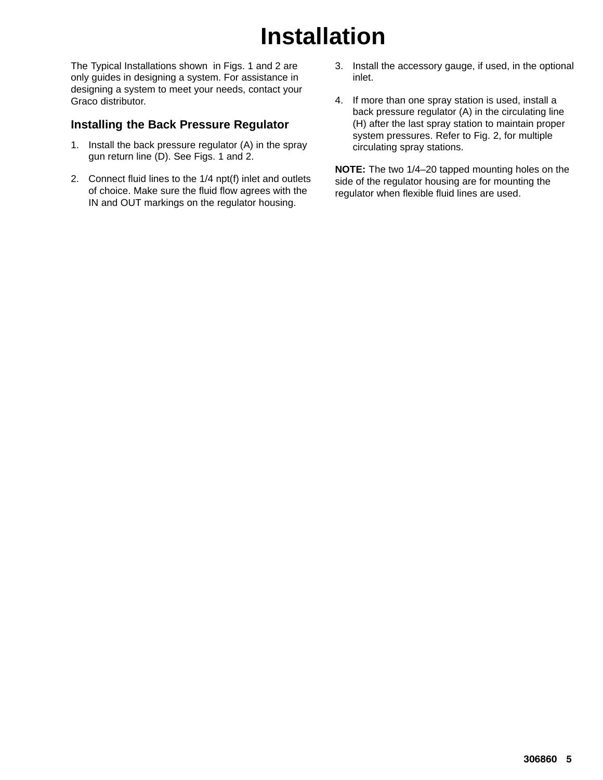# **Installation**

The Typical Installations shown in Figs. 1 and 2 are only guides in designing a system. For assistance in designing a system to meet your needs, contact your Graco distributor.

### **Installing the Back Pressure Regulator**

- 1. Install the back pressure regulator (A) in the spray gun return line (D). See Figs. 1 and 2.
- 2. Connect fluid lines to the 1/4 npt(f) inlet and outlets of choice. Make sure the fluid flow agrees with the IN and OUT markings on the regulator housing.
- 3. Install the accessory gauge, if used, in the optional inlet.
- 4. If more than one spray station is used, install a back pressure regulator (A) in the circulating line (H) after the last spray station to maintain proper system pressures. Refer to Fig. 2, for multiple circulating spray stations.

**NOTE:** The two 1/4–20 tapped mounting holes on the side of the regulator housing are for mounting the regulator when flexible fluid lines are used.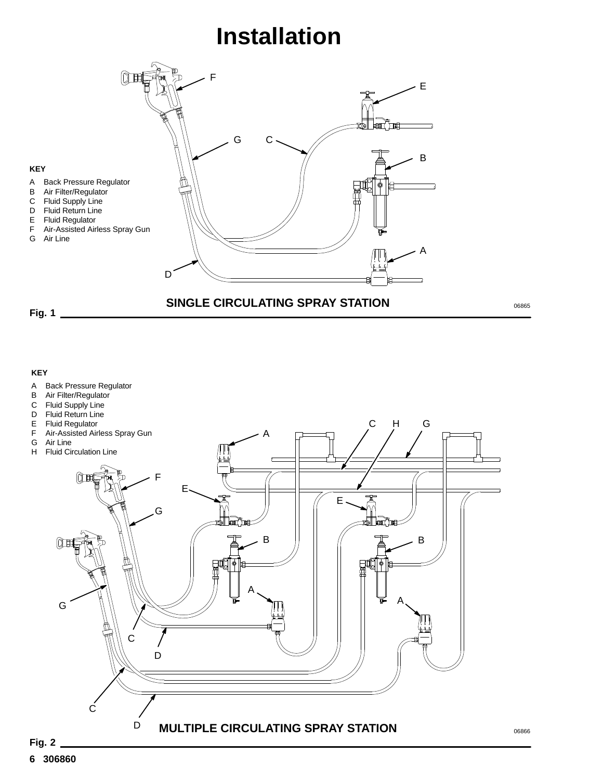## **Installation**



06865

#### **KEY**

- A Back Pressure Regulator<br>B Air Filter/Regulator
- B Air Filter/Regulator<br>C Fluid Supply Line
- 
- C Fluid Supply Line<br>D Fluid Return Line Fluid Return Line
- 
- E Fluid Regulator<br>F Air-Assisted Air
- 
- 

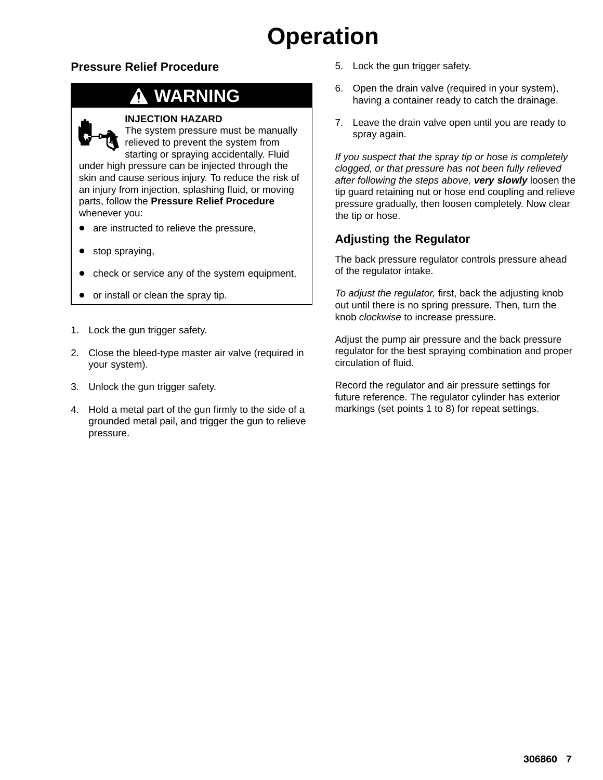# **Operation**

### **Pressure Relief Procedure**

## **WARNING**



The system pressure must be manually relieved to prevent the system from starting or spraying accidentally. Fluid under high pressure can be injected through the skin and cause serious injury. To reduce the risk of an injury from injection, splashing fluid, or moving parts, follow the **Pressure Relief Procedure** whenever you:

- are instructed to relieve the pressure,
- stop spraying,
- check or service any of the system equipment,
- or install or clean the spray tip.
- 1. Lock the gun trigger safety.
- 2. Close the bleed-type master air valve (required in your system).
- 3. Unlock the gun trigger safety.
- 4. Hold a metal part of the gun firmly to the side of a grounded metal pail, and trigger the gun to relieve pressure.
- 5. Lock the gun trigger safety.
- 6. Open the drain valve (required in your system), having a container ready to catch the drainage.
- 7. Leave the drain valve open until you are ready to spray again.

*If you suspect that the spray tip or hose is completely clogged, or that pressure has not been fully relieved after following the steps above, very slowly* loosen the tip guard retaining nut or hose end coupling and relieve pressure gradually, then loosen completely. Now clear the tip or hose.

### **Adjusting the Regulator**

The back pressure regulator controls pressure ahead of the regulator intake.

*To adjust the regulator,* first, back the adjusting knob out until there is no spring pressure. Then, turn the knob *clockwise* to increase pressure.

Adjust the pump air pressure and the back pressure regulator for the best spraying combination and proper circulation of fluid.

Record the regulator and air pressure settings for future reference. The regulator cylinder has exterior markings (set points 1 to 8) for repeat settings.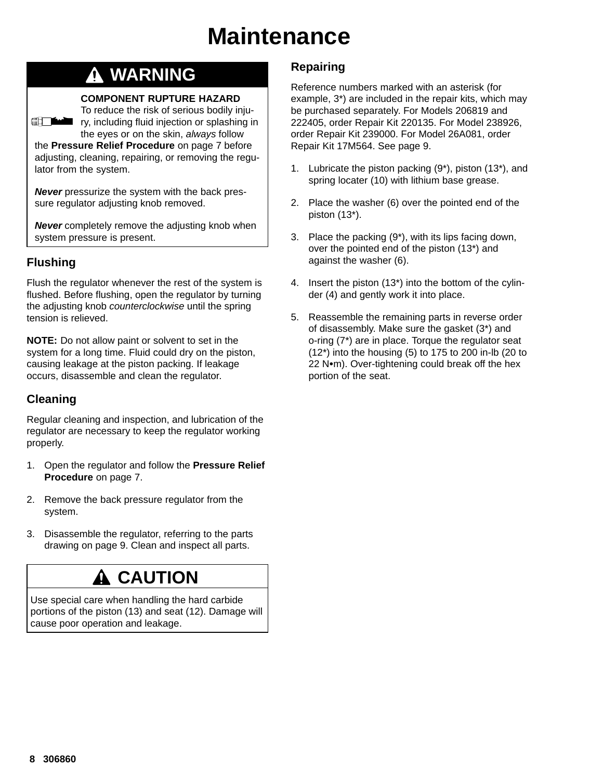## **Maintenance**

### **WARNING**

#### **COMPONENT RUPTURE HAZARD**

To reduce the risk of serious bodily injury, including fluid injection or splashing in the eyes or on the skin, *always* follow

the **Pressure Relief Procedure** on page 7 before adjusting, cleaning, repairing, or removing the regulator from the system.

*Never* pressurize the system with the back pressure regulator adjusting knob removed.

*Never* completely remove the adjusting knob when system pressure is present.

### **Flushing**

**All The Line of The Line of The Line of The Line of The Line of The Line of The Line of The Line of The Line o** 

Flush the regulator whenever the rest of the system is flushed. Before flushing, open the regulator by turning the adjusting knob *counterclockwise* until the spring tension is relieved.

**NOTE:** Do not allow paint or solvent to set in the system for a long time. Fluid could dry on the piston, causing leakage at the piston packing. If leakage occurs, disassemble and clean the regulator.

### **Cleaning**

Regular cleaning and inspection, and lubrication of the regulator are necessary to keep the regulator working properly.

- 1. Open the regulator and follow the **Pressure Relief Procedure** on page 7.
- 2. Remove the back pressure regulator from the system.
- 3. Disassemble the regulator, referring to the parts drawing on page 9. Clean and inspect all parts.

### **CAUTION**

Use special care when handling the hard carbide portions of the piston (13) and seat (12). Damage will cause poor operation and leakage.

### **Repairing**

Reference numbers marked with an asterisk (for example, 3\*) are included in the repair kits, which may be purchased separately. For Models 206819 and 222405, order Repair Kit 220135. For Model 238926, order Repair Kit 239000. For Model 26A081, order Repair Kit 17M564. See page 9.

- 1. Lubricate the piston packing (9\*), piston (13\*), and spring locater (10) with lithium base grease.
- 2. Place the washer (6) over the pointed end of the piston (13\*).
- 3. Place the packing (9\*), with its lips facing down, over the pointed end of the piston (13\*) and against the washer (6).
- 4. Insert the piston (13\*) into the bottom of the cylinder (4) and gently work it into place.
- 5. Reassemble the remaining parts in reverse order of disassembly. Make sure the gasket (3\*) and o-ring (7\*) are in place. Torque the regulator seat (12\*) into the housing (5) to 175 to 200 in-lb (20 to  $22$  N $\cdot$ m). Over-tightening could break off the hex portion of the seat.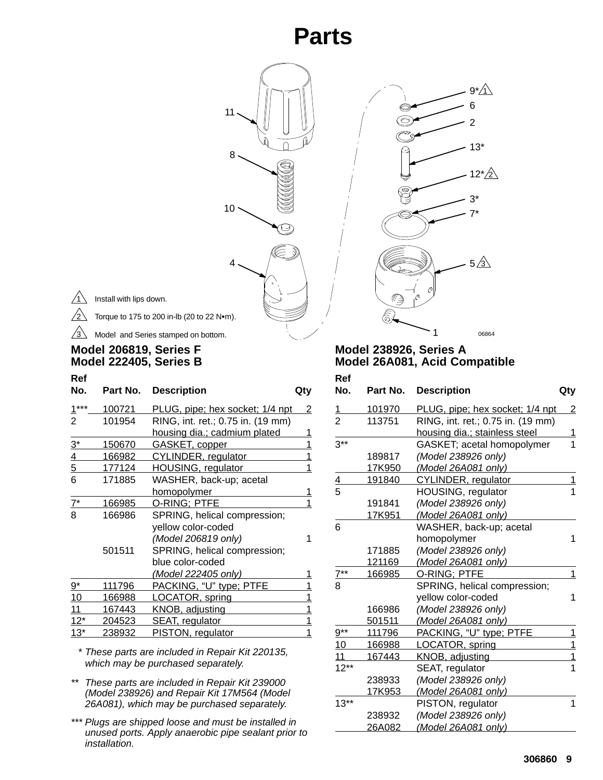## **Parts**



 $/_{2}$ 

Torque to 175 to 200 in-lb (20 to 22  $N$ •m).

11

8

10

4

Model and Series stamped on bottom.  $\sqrt{3}$ 

### **Model 206819, Series F Model 222405, Series B**

| Ref<br>No.      | Part No.       | <b>Description</b>                     | Qty      |
|-----------------|----------------|----------------------------------------|----------|
| $1***$          | 100721         | <u>PLUG, pipe; hex socket; 1/4 npt</u> | <u>2</u> |
| $\overline{2}$  | 101954         | RING, int. ret.; 0.75 in. (19 mm)      |          |
|                 |                | housing dia.; cadmium plated           | 1        |
| $3^*$           | 150670         | GASKET, copper                         | 1        |
| $\overline{4}$  | 166982         | <b>CYLINDER, regulator</b>             | 1        |
| $5\overline{)}$ | 177124         | <b>HOUSING, regulator</b>              | 1        |
| 6               | 171885         | WASHER, back-up; acetal                |          |
|                 |                | homopolymer                            | 1        |
| $7^*$           | 166985         | o-ring: PTFE                           | 1        |
| 8               | 166986         | SPRING, helical compression;           |          |
|                 |                | yellow color-coded                     |          |
|                 |                | (Model 206819 only)                    | 1        |
|                 | 501511         | SPRING, helical compression;           |          |
|                 |                | blue color-coded                       |          |
|                 |                | <u>(Model 222405 only)</u>             |          |
| 9*              | 111796         | PACKING, "U" type; PTFE                |          |
| 10              | 166988         | LOCATOR, spring                        | 1        |
| 11              | 167443         | KNOB, adjusting                        | 1        |
| $12*$           | <u> 204523</u> | <b>SEAT, regulator</b>                 | 1        |
| $13*$           | 238932         | PISTON, regulator                      | 1        |

*\* These parts are included in Repair Kit 220135, which may be purchased separately.*

- *\*\* These parts are included in Repair Kit 239000 (Model 238926) and Repair Kit 17M564 (Model 26A081), which may be purchased separately.*
- *\*\*\* Plugs are shipped loose and must be installed in unused ports. Apply anaerobic pipe sealant prior to installation.*



O S

06864

 $12^{\ast}/2$ 

13\*

2 6  $9^*/\sqrt{1}$ 

3\* 7\*

 $5/3$ 

| Ref<br>No.    | Part No.       | <b>Description</b>                | Qty |
|---------------|----------------|-----------------------------------|-----|
|               | 101970         | PLUG, pipe; hex socket; 1/4 npt   | 2   |
| $\frac{1}{2}$ | 113751         | RING, int. ret.; 0.75 in. (19 mm) |     |
|               |                | housing dia.: stainless steel     | 1   |
| $3**$         |                | GASKET; acetal homopolymer        | 1   |
|               | 189817         | (Model 238926 only)               |     |
|               | 17K950         | (Model 26A081 only)               |     |
| $\frac{4}{5}$ | 191840         | <b>CYLINDER, regulator</b>        | 1   |
|               |                | HOUSING, regulator                | 1   |
|               | 191841         | (Model 238926 only)               |     |
|               | 17K951         | (Model 26A081 only)               |     |
| 6             |                | WASHER, back-up; acetal           |     |
|               |                | homopolymer                       | 1   |
|               | 171885         | (Model 238926 only)               |     |
|               | 121169         | (Model 26A081 only)               |     |
| $7^{**}$      | 166985         | O-RING: PTFE                      | 1   |
| 8             |                | SPRING, helical compression;      |     |
|               |                | yellow color-coded                | 1   |
|               | 166986         | (Model 238926 only)               |     |
|               | <u>501511</u>  | (Model 26A081 only)               |     |
| $9***$        | 111796         | PACKING, "U" type; PTFE           | 1   |
| 10            | <u> 166988</u> | LOCATOR, spring                   | 1   |
| 11            | 167443         | KNOB, adjusting                   | 1   |
| $12***$       |                | SEAT, regulator                   | 1   |
|               | 238933         | (Model 238926 only)               |     |
|               | 17K953         | (Model 26A081 only)               |     |
| $13**$        |                | PISTON, regulator                 | 1   |
|               | 238932         | (Model 238926 only)               |     |
|               | 26A082         | (Model 26A081 only)               |     |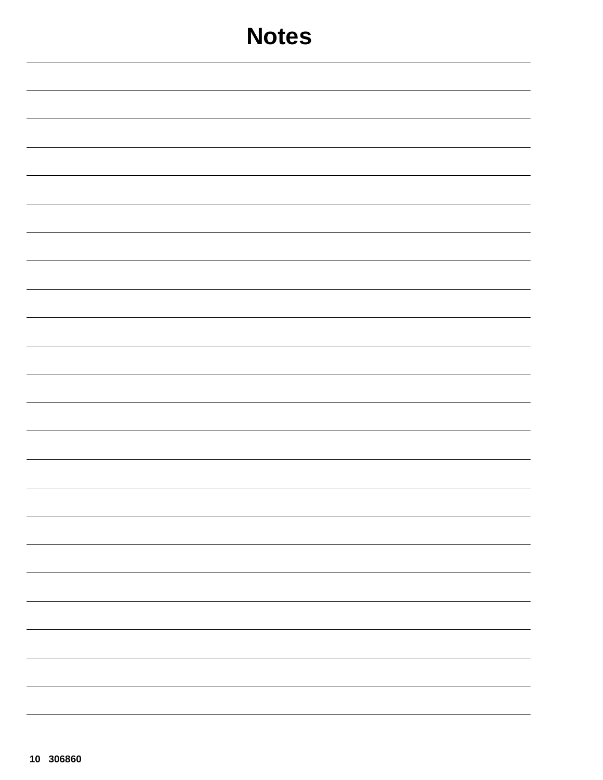| <b>Notes</b>             |
|--------------------------|
|                          |
|                          |
|                          |
|                          |
|                          |
|                          |
|                          |
|                          |
|                          |
|                          |
|                          |
|                          |
|                          |
| -                        |
|                          |
| —                        |
|                          |
| $\overline{\phantom{0}}$ |
|                          |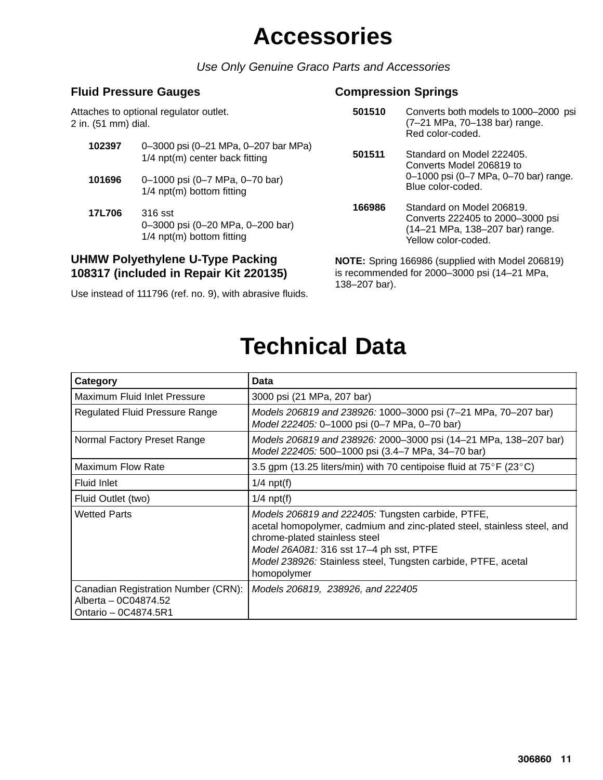## **Accessories**

*Use Only Genuine Graco Parts and Accessories*

### **Fluid Pressure Gauges**

Attaches to optional regulator outlet. 2 in. (51 mm) dial.

- **102397** 0–3000 psi (0–21 MPa, 0–207 bar MPa) 1/4 npt(m) center back fitting
- **101696** 0–1000 psi (0–7 MPa, 0–70 bar) 1/4 npt(m) bottom fitting
- **17L706** 316 sst 0–3000 psi (0–20 MPa, 0–200 bar) 1/4 npt(m) bottom fitting

### **UHMW Polyethylene U-Type Packing 108317 (included in Repair Kit 220135)**

Use instead of 111796 (ref. no. 9), with abrasive fluids.

### **Compression Springs**

- **501510** Converts both models to 1000–2000 psi (7–21 MPa, 70–138 bar) range. Red color-coded.
- **501511** Standard on Model 222405. Converts Model 206819 to 0–1000 psi (0–7 MPa, 0–70 bar) range. Blue color-coded.
- **166986** Standard on Model 206819. Converts 222405 to 2000–3000 psi (14–21 MPa, 138–207 bar) range. Yellow color-coded.

**NOTE:** Spring 166986 (supplied with Model 206819) is recommended for 2000–3000 psi (14–21 MPa, 138–207 bar).

| Category                                                                            | Data                                                                                                                                                                                                                                                                                     |
|-------------------------------------------------------------------------------------|------------------------------------------------------------------------------------------------------------------------------------------------------------------------------------------------------------------------------------------------------------------------------------------|
| Maximum Fluid Inlet Pressure                                                        | 3000 psi (21 MPa, 207 bar)                                                                                                                                                                                                                                                               |
| <b>Regulated Fluid Pressure Range</b>                                               | Models 206819 and 238926: 1000-3000 psi (7-21 MPa, 70-207 bar)<br>Model 222405: 0-1000 psi (0-7 MPa, 0-70 bar)                                                                                                                                                                           |
| Normal Factory Preset Range                                                         | Models 206819 and 238926: 2000–3000 psi (14–21 MPa, 138–207 bar)<br>Model 222405: 500-1000 psi (3.4-7 MPa, 34-70 bar)                                                                                                                                                                    |
| <b>Maximum Flow Rate</b>                                                            | 3.5 gpm (13.25 liters/min) with 70 centipoise fluid at $75^{\circ}$ F (23 $^{\circ}$ C)                                                                                                                                                                                                  |
| Fluid Inlet                                                                         | $1/4$ npt(f)                                                                                                                                                                                                                                                                             |
| Fluid Outlet (two)                                                                  | $1/4$ npt(f)                                                                                                                                                                                                                                                                             |
| <b>Wetted Parts</b>                                                                 | Models 206819 and 222405: Tungsten carbide, PTFE,<br>acetal homopolymer, cadmium and zinc-plated steel, stainless steel, and<br>chrome-plated stainless steel<br>Model 26A081: 316 sst 17-4 ph sst, PTFE<br>Model 238926: Stainless steel, Tungsten carbide, PTFE, acetal<br>homopolymer |
| Canadian Registration Number (CRN):<br>Alberta - 0C04874.52<br>Ontario - 0C4874.5R1 | Models 206819, 238926, and 222405                                                                                                                                                                                                                                                        |

## **Technical Data**